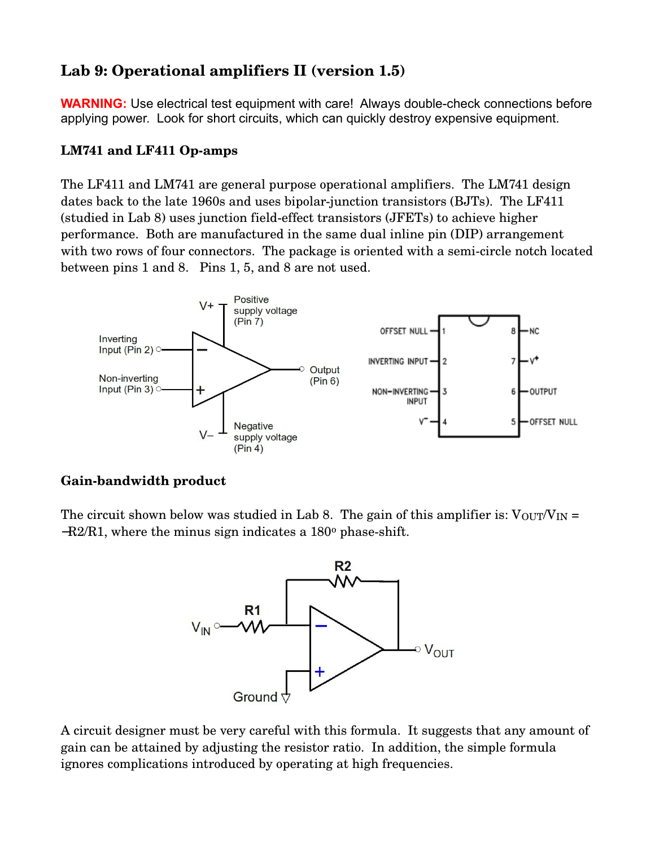# **Lab 9: Operational amplifiers II (version 1.5)**

**WARNING:** Use electrical test equipment with care! Always double-check connections before applying power. Look for short circuits, which can quickly destroy expensive equipment.

### LM741 and LF411 Op-amps

The LF411 and LM741 are general purpose operational amplifiers. The LM741 design dates back to the late 1960s and uses bipolar-junction transistors (BJTs). The LF411 (studied in Lab 8) uses junction field-effect transistors (JFETs) to achieve higher performance. Both are manufactured in the same dual inline pin (DIP) arrangement with two rows of four connectors. The package is oriented with a semi-circle notch located between pins 1 and 8. Pins 1, 5, and 8 are not used.



## Gain-bandwidth product

The circuit shown below was studied in Lab 8. The gain of this amplifier is:  $V_{\text{OUT}}/V_{\text{IN}} =$  $-R2/R1$ , where the minus sign indicates a 180 $\degree$  phase-shift.



A circuit designer must be very careful with this formula. It suggests that any amount of gain can be attained by adjusting the resistor ratio. In addition, the simple formula ignores complications introduced by operating at high frequencies.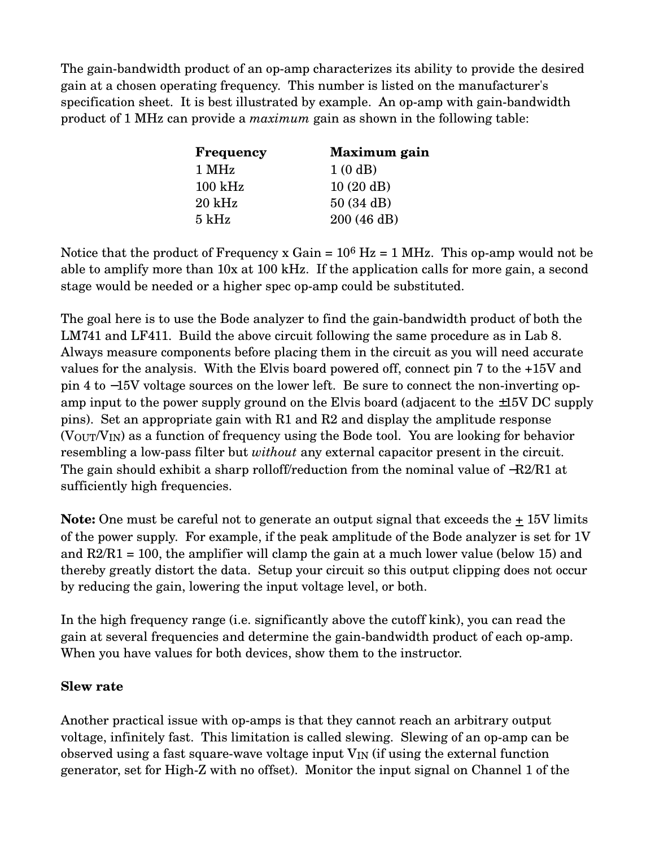The gain-bandwidth product of an op-amp characterizes its ability to provide the desired gain at a chosen operating frequency. This number is listed on the manufacturer's specification sheet. It is best illustrated by example. An op-amp with gain-bandwidth product of 1 MHz can provide a *maximum* gain as shown in the following table:

| <b>Frequency</b>   | Maximum gain |
|--------------------|--------------|
| 1 MHz              | 1(0dB)       |
| $100 \mathrm{kHz}$ | 10(20 dB)    |
| $20 \text{ kHz}$   | 50(34 dB)    |
| $5 \mathrm{kHz}$   | 200 (46 dB)  |

Notice that the product of Frequency x Gain =  $10^6$  Hz = 1 MHz. This op-amp would not be able to amplify more than 10x at 100 kHz. If the application calls for more gain, a second stage would be needed or a higher spec op-amp could be substituted.

The goal here is to use the Bode analyzer to find the gain-bandwidth product of both the LM741 and LF411. Build the above circuit following the same procedure as in Lab 8. Always measure components before placing them in the circuit as you will need accurate values for the analysis. With the Elvis board powered off, connect pin 7 to the +15V and pin 4 to −15V voltage sources on the lower left. Be sure to connect the non-inverting opamp input to the power supply ground on the Elvis board (adjacent to the  $\pm 15V$  DC supply pins). Set an appropriate gain with R1 and R2 and display the amplitude response (VOUT/VIN) as a function of frequency using the Bode tool. You are looking for behavior resembling a low-pass filter but *without* any external capacitor present in the circuit. The gain should exhibit a sharp rolloff/reduction from the nominal value of  $-R2/R1$  at sufficiently high frequencies.

**Note:** One must be careful not to generate an output signal that exceeds the  $\pm$  15V limits of the power supply. For example, if the peak amplitude of the Bode analyzer is set for 1V and  $R2/R1 = 100$ , the amplifier will clamp the gain at a much lower value (below 15) and thereby greatly distort the data. Setup your circuit so this output clipping does not occur by reducing the gain, lowering the input voltage level, or both.

In the high frequency range (i.e. significantly above the cutoff kink), you can read the gain at several frequencies and determine the gain-bandwidth product of each op-amp. When you have values for both devices, show them to the instructor.

#### **Slew rate**

Another practical issue with op-amps is that they cannot reach an arbitrary output voltage, infinitely fast. This limitation is called slewing. Slewing of an op-amp can be observed using a fast square-wave voltage input  $V_{IN}$  (if using the external function generator, set for High-Z with no offset). Monitor the input signal on Channel 1 of the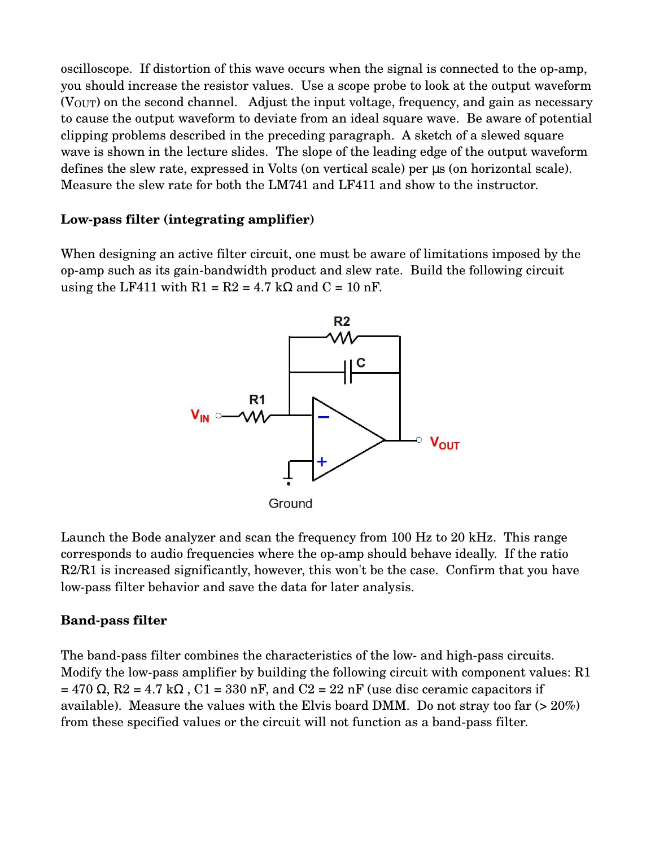oscilloscope. If distortion of this wave occurs when the signal is connected to the op-amp, you should increase the resistor values. Use a scope probe to look at the output waveform (VOUT) on the second channel. Adjust the input voltage, frequency, and gain as necessary to cause the output waveform to deviate from an ideal square wave. Be aware of potential clipping problems described in the preceding paragraph. A sketch of a slewed square wave is shown in the lecture slides. The slope of the leading edge of the output waveform defines the slew rate, expressed in Volts (on vertical scale) per µs (on horizontal scale). Measure the slew rate for both the LM741 and LF411 and show to the instructor.

#### Low-pass filter (integrating amplifier)

When designing an active filter circuit, one must be aware of limitations imposed by the opamp such as its gainbandwidth product and slew rate. Build the following circuit using the LF411 with  $R1 = R2 = 4.7$  kΩ and  $C = 10$  nF.



Launch the Bode analyzer and scan the frequency from 100 Hz to 20 kHz. This range corresponds to audio frequencies where the op-amp should behave ideally. If the ratio R2/R1 is increased significantly, however, this won't be the case. Confirm that you have low-pass filter behavior and save the data for later analysis.

#### **Band-pass filter**

The band-pass filter combines the characteristics of the low- and high-pass circuits. Modify the low-pass amplifier by building the following circuit with component values: R1  $= 470 \Omega$ , R2 = 4.7 k $\Omega$ , C1 = 330 nF, and C2 = 22 nF (use disc ceramic capacitors if available). Measure the values with the Elvis board DMM. Do not stray too far (> 20%) from these specified values or the circuit will not function as a band-pass filter.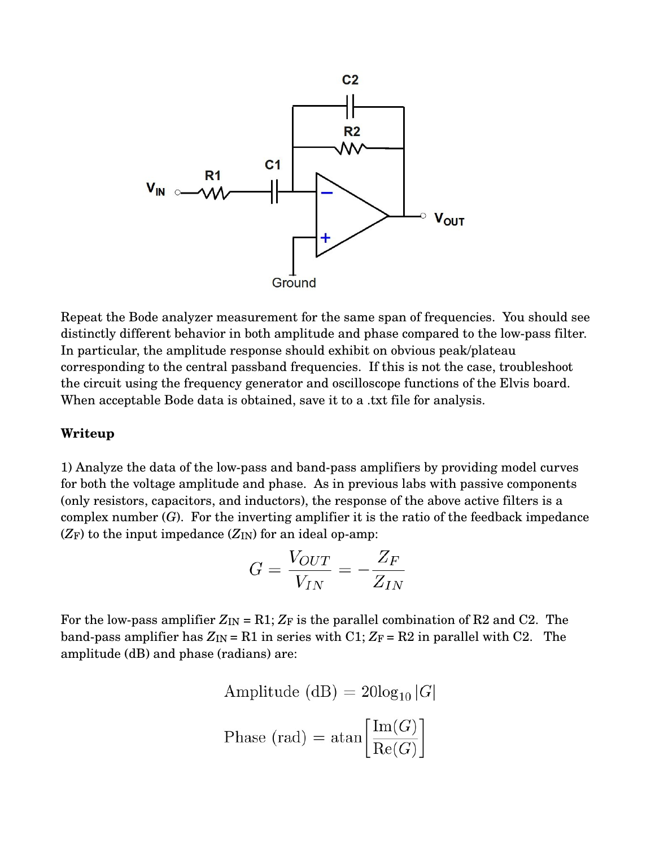

Repeat the Bode analyzer measurement for the same span of frequencies. You should see distinctly different behavior in both amplitude and phase compared to the low-pass filter. In particular, the amplitude response should exhibit on obvious peak/plateau corresponding to the central passband frequencies. If this is not the case, troubleshoot the circuit using the frequency generator and oscilloscope functions of the Elvis board. When acceptable Bode data is obtained, save it to a .txt file for analysis.

#### **Writeup**

1) Analyze the data of the low-pass and band-pass amplifiers by providing model curves for both the voltage amplitude and phase. As in previous labs with passive components (only resistors, capacitors, and inductors), the response of the above active filters is a complex number  $(G)$ . For the inverting amplifier it is the ratio of the feedback impedance  $(Z_F)$  to the input impedance  $(Z_{IN})$  for an ideal op-amp:

$$
G = \frac{V_{OUT}}{V_{IN}} = -\frac{Z_F}{Z_{IN}}
$$

For the low-pass amplifier  $Z_{IN} = R1$ ;  $Z_F$  is the parallel combination of R2 and C2. The band-pass amplifier has  $Z_{IN} = R1$  in series with C1;  $Z_F = R2$  in parallel with C2. The amplitude (dB) and phase (radians) are:

Amplitude (dB) = 
$$
20\log_{10} |G|
$$
  
Phase (rad) =  $\text{atan}\left[\frac{\text{Im}(G)}{\text{Re}(G)}\right]$